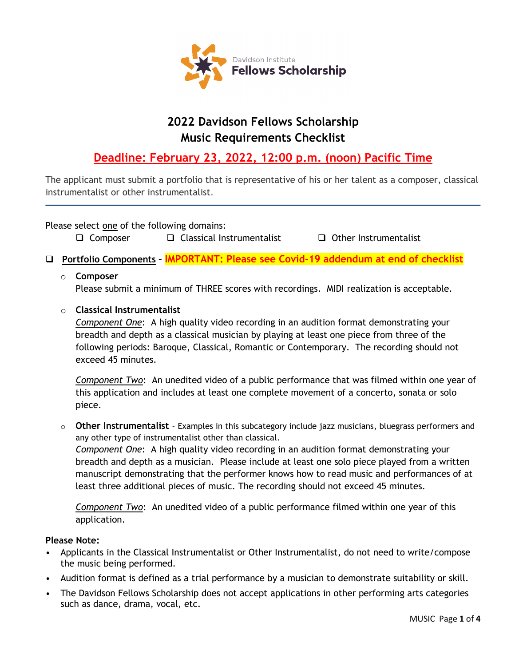

# **2022 Davidson Fellows Scholarship Music Requirements Checklist**

## **Deadline: February 23, 2022, 12:00 p.m. (noon) Pacific Time**

The applicant must submit a portfolio that is representative of his or her talent as a composer, classical instrumentalist or other instrumentalist.

Please select one of the following domains:

 $\Box$  Composer  $\Box$  Classical Instrumentalist  $\Box$  Other Instrumentalist

**Portfolio Components – IMPORTANT: Please see Covid-19 addendum at end of checklist**

### o **Composer**

Please submit a minimum of THREE scores with recordings. MIDI realization is acceptable.

#### o **Classical Instrumentalist**

*Component One*:A high quality video recording in an audition format demonstrating your breadth and depth as a classical musician by playing at least one piece from three of the following periods: Baroque, Classical, Romantic or Contemporary. The recording should not exceed 45 minutes.

*Component Two*: An unedited video of a public performance that was filmed within one year of this application and includes at least one complete movement of a concerto, sonata or solo piece.

o **Other Instrumentalist** - Examples in this subcategory include jazz musicians, bluegrass performers and any other type of instrumentalist other than classical.

*Component One*: A high quality video recording in an audition format demonstrating your breadth and depth as a musician. Please include at least one solo piece played from a written manuscript demonstrating that the performer knows how to read music and performances of at least three additional pieces of music. The recording should not exceed 45 minutes.

*Component Two*: An unedited video of a public performance filmed within one year of this application.

#### **Please Note:**

- Applicants in the Classical Instrumentalist or Other Instrumentalist, do not need to write/compose the music being performed.
- Audition format is defined as a trial performance by a musician to demonstrate suitability or skill.
- The Davidson Fellows Scholarship does not accept applications in other performing arts categories such as dance, drama, vocal, etc.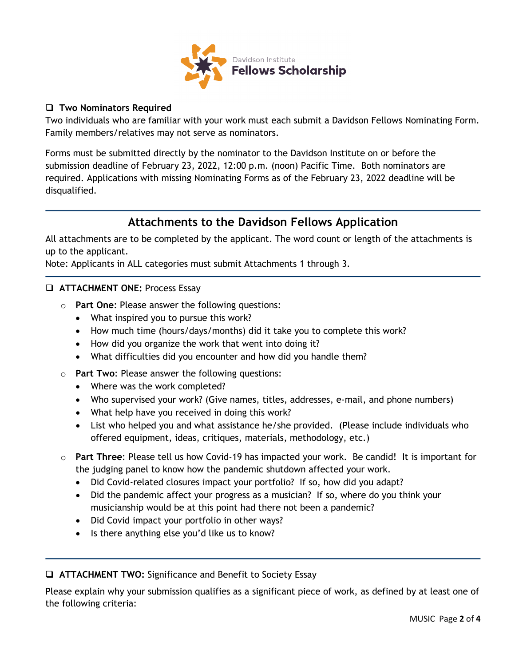

#### **Two Nominators Required**

Two individuals who are familiar with your work must each submit a Davidson Fellows Nominating Form. Family members/relatives may not serve as nominators.

Forms must be submitted directly by the nominator to the Davidson Institute on or before the submission deadline of February 23, 2022, 12:00 p.m. (noon) Pacific Time. Both nominators are required. Applications with missing Nominating Forms as of the February 23, 2022 deadline will be disqualified.

### **Attachments to the Davidson Fellows Application**

All attachments are to be completed by the applicant. The word count or length of the attachments is up to the applicant.

Note: Applicants in ALL categories must submit Attachments 1 through 3.

- **ATTACHMENT ONE:** Process Essay
	- o **Part One**: Please answer the following questions:
		- What inspired you to pursue this work?
		- How much time (hours/days/months) did it take you to complete this work?
		- How did you organize the work that went into doing it?
		- What difficulties did you encounter and how did you handle them?
	- o **Part Two**: Please answer the following questions:
		- Where was the work completed?
		- Who supervised your work? (Give names, titles, addresses, e-mail, and phone numbers)
		- What help have you received in doing this work?
		- List who helped you and what assistance he/she provided. (Please include individuals who offered equipment, ideas, critiques, materials, methodology, etc.)
	- o **Part Three**: Please tell us how Covid-19 has impacted your work. Be candid! It is important for the judging panel to know how the pandemic shutdown affected your work.
		- Did Covid-related closures impact your portfolio? If so, how did you adapt?
		- Did the pandemic affect your progress as a musician? If so, where do you think your musicianship would be at this point had there not been a pandemic?
		- Did Covid impact your portfolio in other ways?
		- Is there anything else you'd like us to know?

#### **ATTACHMENT TWO:** Significance and Benefit to Society Essay

Please explain why your submission qualifies as a significant piece of work, as defined by at least one of the following criteria: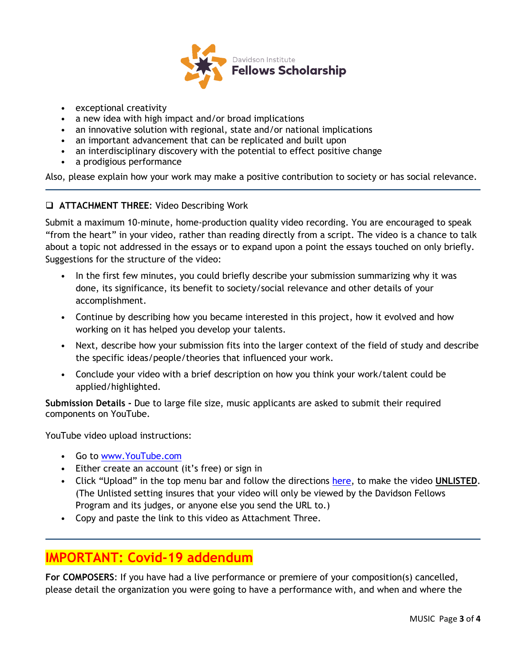

- exceptional creativity
- a new idea with high impact and/or broad implications
- an innovative solution with regional, state and/or national implications
- an important advancement that can be replicated and built upon
- an interdisciplinary discovery with the potential to effect positive change
- a prodigious performance

Also, please explain how your work may make a positive contribution to society or has social relevance.

**ATTACHMENT THREE**: Video Describing Work

Submit a maximum 10-minute, home-production quality video recording. You are encouraged to speak "from the heart" in your video, rather than reading directly from a script. The video is a chance to talk about a topic not addressed in the essays or to expand upon a point the essays touched on only briefly. Suggestions for the structure of the video:

- In the first few minutes, you could briefly describe your submission summarizing why it was done, its significance, its benefit to society/social relevance and other details of your accomplishment.
- Continue by describing how you became interested in this project, how it evolved and how working on it has helped you develop your talents.
- Next, describe how your submission fits into the larger context of the field of study and describe the specific ideas/people/theories that influenced your work.
- Conclude your video with a brief description on how you think your work/talent could be applied/highlighted.

**Submission Details -** Due to large file size, music applicants are asked to submit their required components on YouTube.

YouTube video upload instructions:

- Go to [www.YouTube.com](http://www.youtube.com/)
- Either create an account (it's free) or sign in
- Click "Upload" in the top menu bar and follow the directions [here,](http://www.google.com/support/youtube/bin/answer.py?answer=181547) to make the video **UNLISTED**. (The Unlisted setting insures that your video will only be viewed by the Davidson Fellows Program and its judges, or anyone else you send the URL to.)
- Copy and paste the link to this video as Attachment Three.

## **IMPORTANT: Covid-19 addendum**

**For COMPOSERS**: If you have had a live performance or premiere of your composition(s) cancelled, please detail the organization you were going to have a performance with, and when and where the